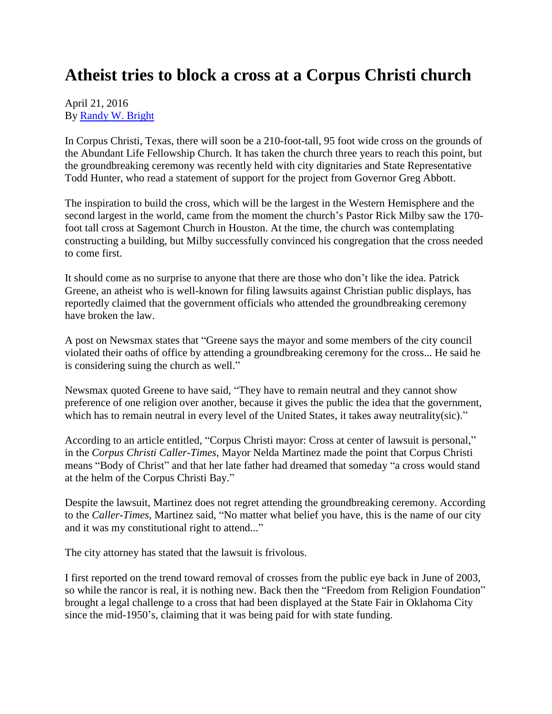## **Atheist tries to block a cross at a Corpus Christi church**

## April 21, 2016 By [Randy W. Bright](http://www.tulsabeacon.com/author/slug-o6yd1v)

In Corpus Christi, Texas, there will soon be a 210-foot-tall, 95 foot wide cross on the grounds of the Abundant Life Fellowship Church. It has taken the church three years to reach this point, but the groundbreaking ceremony was recently held with city dignitaries and State Representative Todd Hunter, who read a statement of support for the project from Governor Greg Abbott.

The inspiration to build the cross, which will be the largest in the Western Hemisphere and the second largest in the world, came from the moment the church's Pastor Rick Milby saw the 170 foot tall cross at Sagemont Church in Houston. At the time, the church was contemplating constructing a building, but Milby successfully convinced his congregation that the cross needed to come first.

It should come as no surprise to anyone that there are those who don't like the idea. Patrick Greene, an atheist who is well-known for filing lawsuits against Christian public displays, has reportedly claimed that the government officials who attended the groundbreaking ceremony have broken the law.

A post on Newsmax states that "Greene says the mayor and some members of the city council violated their oaths of office by attending a groundbreaking ceremony for the cross... He said he is considering suing the church as well."

Newsmax quoted Greene to have said, "They have to remain neutral and they cannot show preference of one religion over another, because it gives the public the idea that the government, which has to remain neutral in every level of the United States, it takes away neutrality(sic)."

According to an article entitled, "Corpus Christi mayor: Cross at center of lawsuit is personal," in the *Corpus Christi Caller-Times*, Mayor Nelda Martinez made the point that Corpus Christi means "Body of Christ" and that her late father had dreamed that someday "a cross would stand at the helm of the Corpus Christi Bay."

Despite the lawsuit, Martinez does not regret attending the groundbreaking ceremony. According to the *Caller-Times*, Martinez said, "No matter what belief you have, this is the name of our city and it was my constitutional right to attend..."

The city attorney has stated that the lawsuit is frivolous.

I first reported on the trend toward removal of crosses from the public eye back in June of 2003, so while the rancor is real, it is nothing new. Back then the "Freedom from Religion Foundation" brought a legal challenge to a cross that had been displayed at the State Fair in Oklahoma City since the mid-1950's, claiming that it was being paid for with state funding.